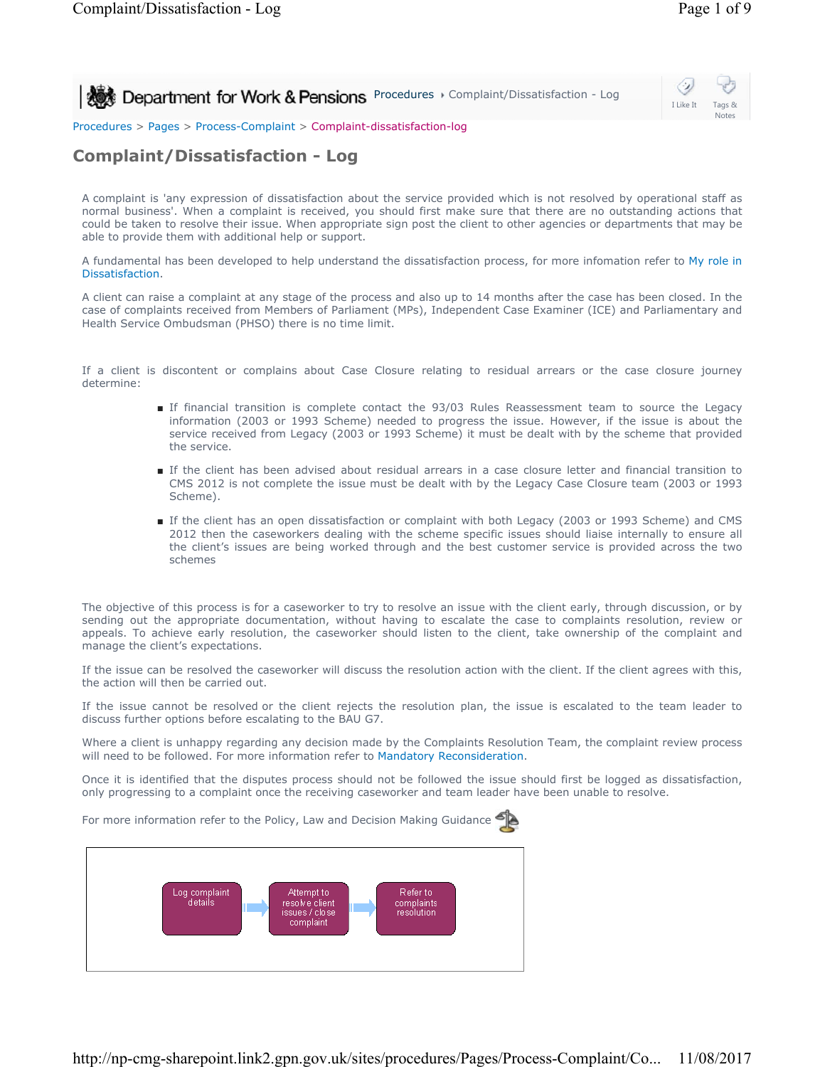**Procedures > Complaint/Dissatisfaction - Log 2009 Department for Work & Pensions** Procedures > Complaint/Dissatisfaction - Log



Procedures > Pages > Process-Complaint > Complaint-dissatisfaction-log

## **Complaint/Dissatisfaction - Log**

A complaint is 'any expression of dissatisfaction about the service provided which is not resolved by operational staff as normal business'. When a complaint is received, you should first make sure that there are no outstanding actions that could be taken to resolve their issue. When appropriate sign post the client to other agencies or departments that may be able to provide them with additional help or support.

A fundamental has been developed to help understand the dissatisfaction process, for more infomation refer to My role in Dissatisfaction.

A client can raise a complaint at any stage of the process and also up to 14 months after the case has been closed. In the case of complaints received from Members of Parliament (MPs), Independent Case Examiner (ICE) and Parliamentary and Health Service Ombudsman (PHSO) there is no time limit.

If a client is discontent or complains about Case Closure relating to residual arrears or the case closure journey determine:

- If financial transition is complete contact the 93/03 Rules Reassessment team to source the Legacy information (2003 or 1993 Scheme) needed to progress the issue. However, if the issue is about the service received from Legacy (2003 or 1993 Scheme) it must be dealt with by the scheme that provided the service.
- If the client has been advised about residual arrears in a case closure letter and financial transition to CMS 2012 is not complete the issue must be dealt with by the Legacy Case Closure team (2003 or 1993 Scheme).
- If the client has an open dissatisfaction or complaint with both Legacy (2003 or 1993 Scheme) and CMS 2012 then the caseworkers dealing with the scheme specific issues should liaise internally to ensure all the client's issues are being worked through and the best customer service is provided across the two schemes

The objective of this process is for a caseworker to try to resolve an issue with the client early, through discussion, or by sending out the appropriate documentation, without having to escalate the case to complaints resolution, review or appeals. To achieve early resolution, the caseworker should listen to the client, take ownership of the complaint and manage the client's expectations.

If the issue can be resolved the caseworker will discuss the resolution action with the client. If the client agrees with this, the action will then be carried out.

If the issue cannot be resolved or the client rejects the resolution plan, the issue is escalated to the team leader to discuss further options before escalating to the BAU G7.

Where a client is unhappy regarding any decision made by the Complaints Resolution Team, the complaint review process will need to be followed. For more information refer to Mandatory Reconsideration.

Once it is identified that the disputes process should not be followed the issue should first be logged as dissatisfaction, only progressing to a complaint once the receiving caseworker and team leader have been unable to resolve.

For more information refer to the Policy, Law and Decision Making Guidance

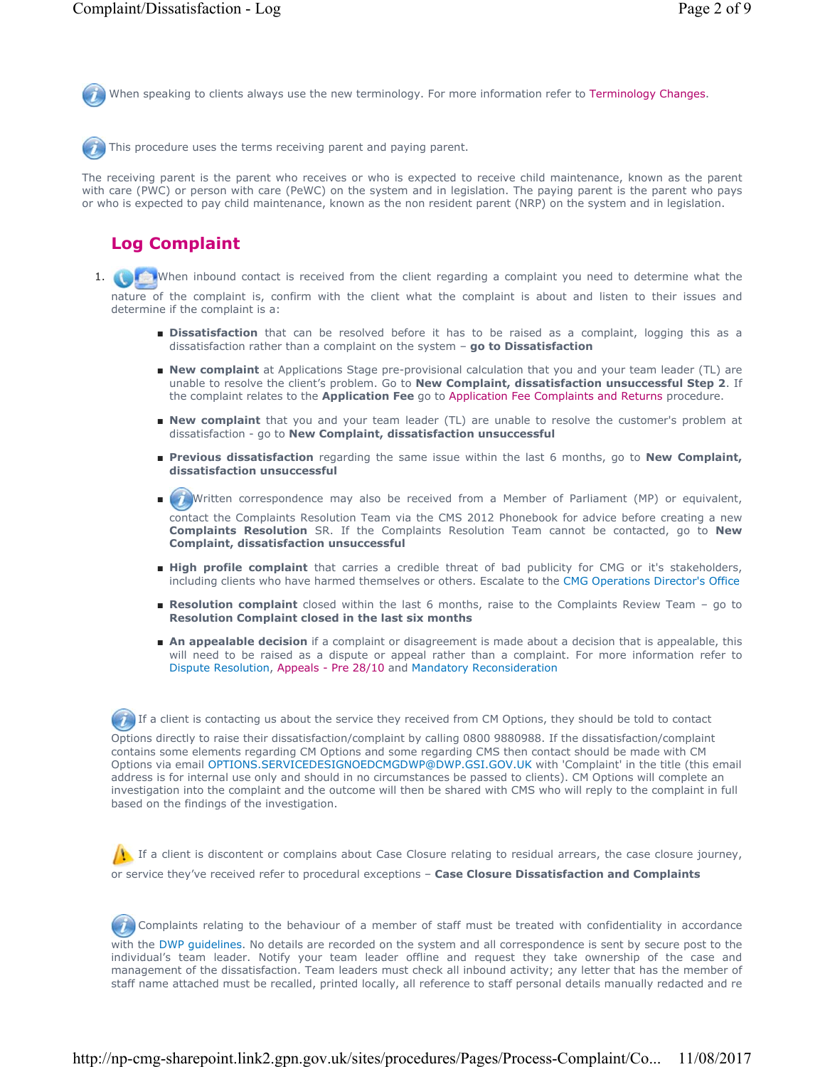When speaking to clients always use the new terminology. For more information refer to Terminology Changes.

This procedure uses the terms receiving parent and paying parent.

The receiving parent is the parent who receives or who is expected to receive child maintenance, known as the parent with care (PWC) or person with care (PeWC) on the system and in legislation. The paying parent is the parent who pays or who is expected to pay child maintenance, known as the non resident parent (NRP) on the system and in legislation.

## **Log Complaint**

- 1. When inbound contact is received from the client regarding a complaint you need to determine what the nature of the complaint is, confirm with the client what the complaint is about and listen to their issues and determine if the complaint is a:
	- **Dissatisfaction** that can be resolved before it has to be raised as a complaint, logging this as a dissatisfaction rather than a complaint on the system – **go to Dissatisfaction**
	- New complaint at Applications Stage pre-provisional calculation that you and your team leader (TL) are unable to resolve the client's problem. Go to **New Complaint, dissatisfaction unsuccessful Step 2**. If the complaint relates to the **Application Fee** go to Application Fee Complaints and Returns procedure.
	- **New complaint** that you and your team leader (TL) are unable to resolve the customer's problem at dissatisfaction - go to **New Complaint, dissatisfaction unsuccessful**
	- Previous dissatisfaction regarding the same issue within the last 6 months, go to New Complaint, **dissatisfaction unsuccessful**
	- Written correspondence may also be received from a Member of Parliament (MP) or equivalent, contact the Complaints Resolution Team via the CMS 2012 Phonebook for advice before creating a new **Complaints Resolution** SR. If the Complaints Resolution Team cannot be contacted, go to **New Complaint, dissatisfaction unsuccessful**  $\blacksquare$
	- High profile complaint that carries a credible threat of bad publicity for CMG or it's stakeholders, including clients who have harmed themselves or others. Escalate to the CMG Operations Director's Office
	- Resolution complaint closed within the last 6 months, raise to the Complaints Review Team go to **Resolution Complaint closed in the last six months**
	- An appealable decision if a complaint or disagreement is made about a decision that is appealable, this will need to be raised as a dispute or appeal rather than a complaint. For more information refer to Dispute Resolution, Appeals - Pre 28/10 and Mandatory Reconsideration

If a client is contacting us about the service they received from CM Options, they should be told to contact Options directly to raise their dissatisfaction/complaint by calling 0800 9880988. If the dissatisfaction/complaint contains some elements regarding CM Options and some regarding CMS then contact should be made with CM Options via email OPTIONS.SERVICEDESIGNOEDCMGDWP@DWP.GSI.GOV.UK with 'Complaint' in the title (this email address is for internal use only and should in no circumstances be passed to clients). CM Options will complete an investigation into the complaint and the outcome will then be shared with CMS who will reply to the complaint in full based on the findings of the investigation.

 If a client is discontent or complains about Case Closure relating to residual arrears, the case closure journey, or service they've received refer to procedural exceptions – **Case Closure Dissatisfaction and Complaints**

Complaints relating to the behaviour of a member of staff must be treated with confidentiality in accordance with the DWP guidelines. No details are recorded on the system and all correspondence is sent by secure post to the individual's team leader. Notify your team leader offline and request they take ownership of the case and

management of the dissatisfaction. Team leaders must check all inbound activity; any letter that has the member of staff name attached must be recalled, printed locally, all reference to staff personal details manually redacted and re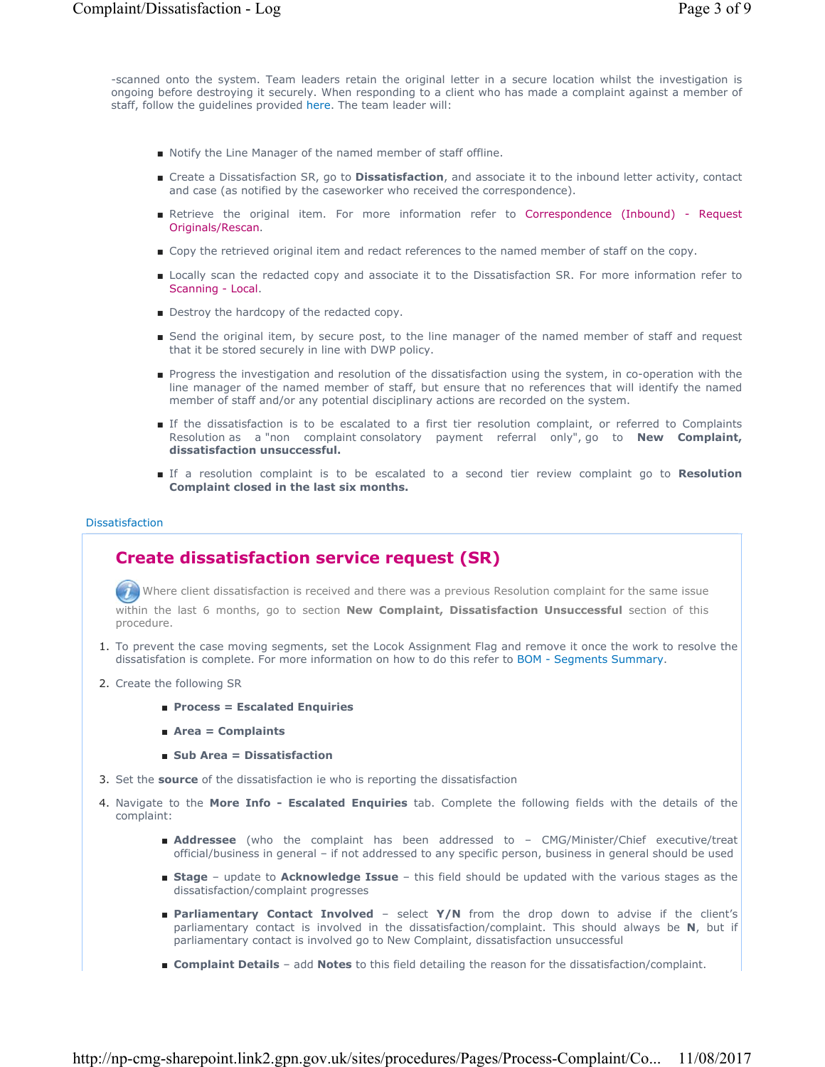-scanned onto the system. Team leaders retain the original letter in a secure location whilst the investigation is ongoing before destroying it securely. When responding to a client who has made a complaint against a member of staff, follow the guidelines provided here. The team leader will:

- Notify the Line Manager of the named member of staff offline.
- Create a Dissatisfaction SR, go to **Dissatisfaction**, and associate it to the inbound letter activity, contact and case (as notified by the caseworker who received the correspondence).
- Retrieve the original item. For more information refer to Correspondence (Inbound) Request Originals/Rescan.
- Copy the retrieved original item and redact references to the named member of staff on the copy.
- Locally scan the redacted copy and associate it to the Dissatisfaction SR. For more information refer to Scanning - Local.
- Destroy the hardcopy of the redacted copy.
- Send the original item, by secure post, to the line manager of the named member of staff and request that it be stored securely in line with DWP policy.
- Progress the investigation and resolution of the dissatisfaction using the system, in co-operation with the line manager of the named member of staff, but ensure that no references that will identify the named member of staff and/or any potential disciplinary actions are recorded on the system.
- If the dissatisfaction is to be escalated to a first tier resolution complaint, or referred to Complaints Resolution as a "non complaint consolatory payment referral only", go to **New Complaint, dissatisfaction unsuccessful.**
- If a resolution complaint is to be escalated to a second tier review complaint go to Resolution **Complaint closed in the last six months.**

#### Dissatisfaction

## **Create dissatisfaction service request (SR)**

 Where client dissatisfaction is received and there was a previous Resolution complaint for the same issue within the last 6 months, go to section **New Complaint, Dissatisfaction Unsuccessful** section of this procedure.

- 1. To prevent the case moving segments, set the Locok Assignment Flag and remove it once the work to resolve the dissatisfation is complete. For more information on how to do this refer to BOM - Segments Summary.
- 2. Create the following SR
	- **Process = Escalated Enquiries**
	- **Area = Complaints**
	- **Sub Area = Dissatisfaction**
- 3. Set the **source** of the dissatisfaction ie who is reporting the dissatisfaction
- 4. Navigate to the **More Info Escalated Enquiries** tab. Complete the following fields with the details of the complaint:
	- **Addressee** (who the complaint has been addressed to CMG/Minister/Chief executive/treat official/business in general – if not addressed to any specific person, business in general should be used
	- Stage update to Acknowledge Issue this field should be updated with the various stages as the dissatisfaction/complaint progresses
	- Parliamentary Contact Involved select Y/N from the drop down to advise if the client's parliamentary contact is involved in the dissatisfaction/complaint. This should always be **N**, but if parliamentary contact is involved go to New Complaint, dissatisfaction unsuccessful
	- **Complaint Details** add **Notes** to this field detailing the reason for the dissatisfaction/complaint.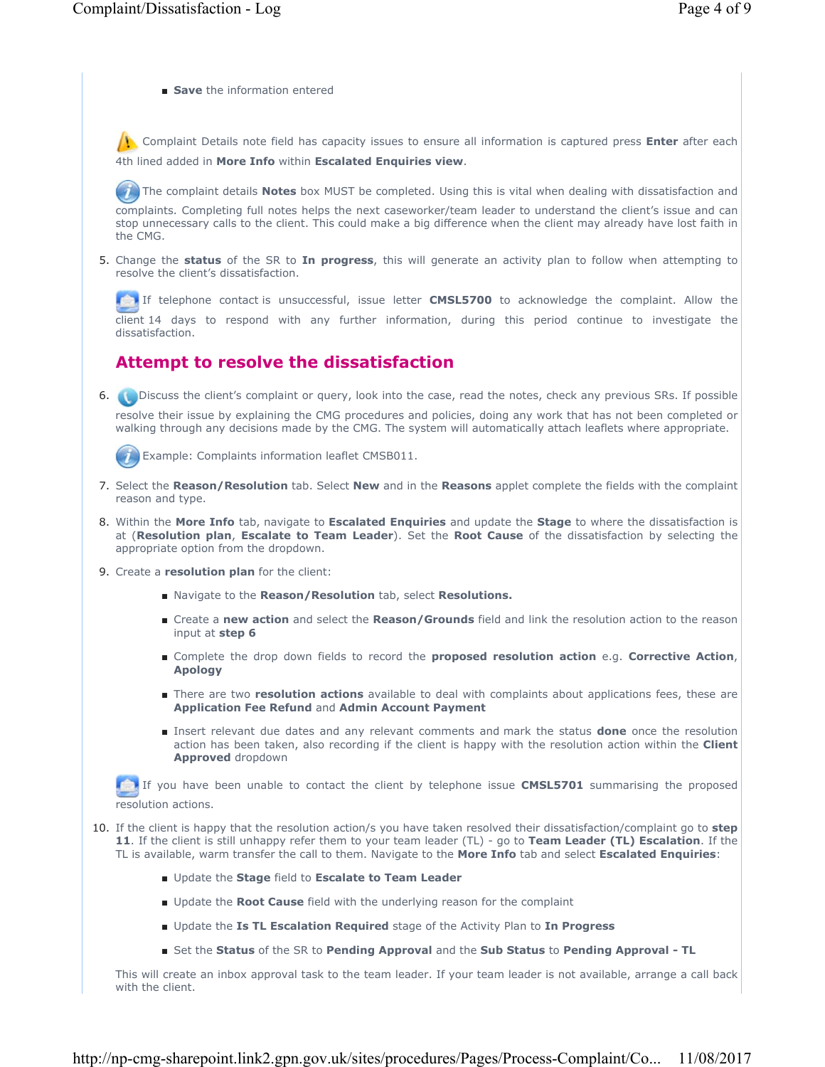■ **Save** the information entered

 Complaint Details note field has capacity issues to ensure all information is captured press **Enter** after each 4th lined added in **More Info** within **Escalated Enquiries view**.

The complaint details **Notes** box MUST be completed. Using this is vital when dealing with dissatisfaction and

complaints. Completing full notes helps the next caseworker/team leader to understand the client's issue and can stop unnecessary calls to the client. This could make a big difference when the client may already have lost faith in the CMG.

5. Change the status of the SR to In progress, this will generate an activity plan to follow when attempting to resolve the client's dissatisfaction.

 If telephone contact is unsuccessful, issue letter **CMSL5700** to acknowledge the complaint. Allow the client 14 days to respond with any further information, during this period continue to investigate the dissatisfaction.

# **Attempt to resolve the dissatisfaction**

Discuss the client's complaint or query, look into the case, read the notes, check any previous SRs. If possible 6. resolve their issue by explaining the CMG procedures and policies, doing any work that has not been completed or

walking through any decisions made by the CMG. The system will automatically attach leaflets where appropriate.

Example: Complaints information leaflet CMSB011.

- Select the **Reason/Resolution** tab. Select **New** and in the **Reasons** applet complete the fields with the complaint 7. reason and type.
- 8. Within the More Info tab, navigate to Escalated Enquiries and update the Stage to where the dissatisfaction is at (**Resolution plan**, **Escalate to Team Leader**). Set the **Root Cause** of the dissatisfaction by selecting the appropriate option from the dropdown.
- 9. Create a **resolution plan** for the client:
	- Navigate to the **Reason/Resolution** tab, select **Resolutions.**
	- Create a new action and select the Reason/Grounds field and link the resolution action to the reason input at **step 6**
	- Complete the drop down fields to record the **proposed resolution action** e.g. **Corrective Action**, **Apology**
	- There are two **resolution actions** available to deal with complaints about applications fees, these are **Application Fee Refund** and **Admin Account Payment**
	- Insert relevant due dates and any relevant comments and mark the status **done** once the resolution action has been taken, also recording if the client is happy with the resolution action within the **Client Approved** dropdown

If you have been unable to contact the client by telephone issue **CMSL5701** summarising the proposed resolution actions.

- If the client is happy that the resolution action/s you have taken resolved their dissatisfaction/complaint go to **step**  10. **11**. If the client is still unhappy refer them to your team leader (TL) - go to **Team Leader (TL) Escalation**. If the TL is available, warm transfer the call to them. Navigate to the **More Info** tab and select **Escalated Enquiries**:
	- Update the **Stage** field to **Escalate to Team Leader**
	- Update the **Root Cause** field with the underlying reason for the complaint
	- Update the **Is TL Escalation Required** stage of the Activity Plan to **In Progress**
	- Set the **Status** of the SR to **Pending Approval** and the **Sub Status** to **Pending Approval TL**

This will create an inbox approval task to the team leader. If your team leader is not available, arrange a call back with the client.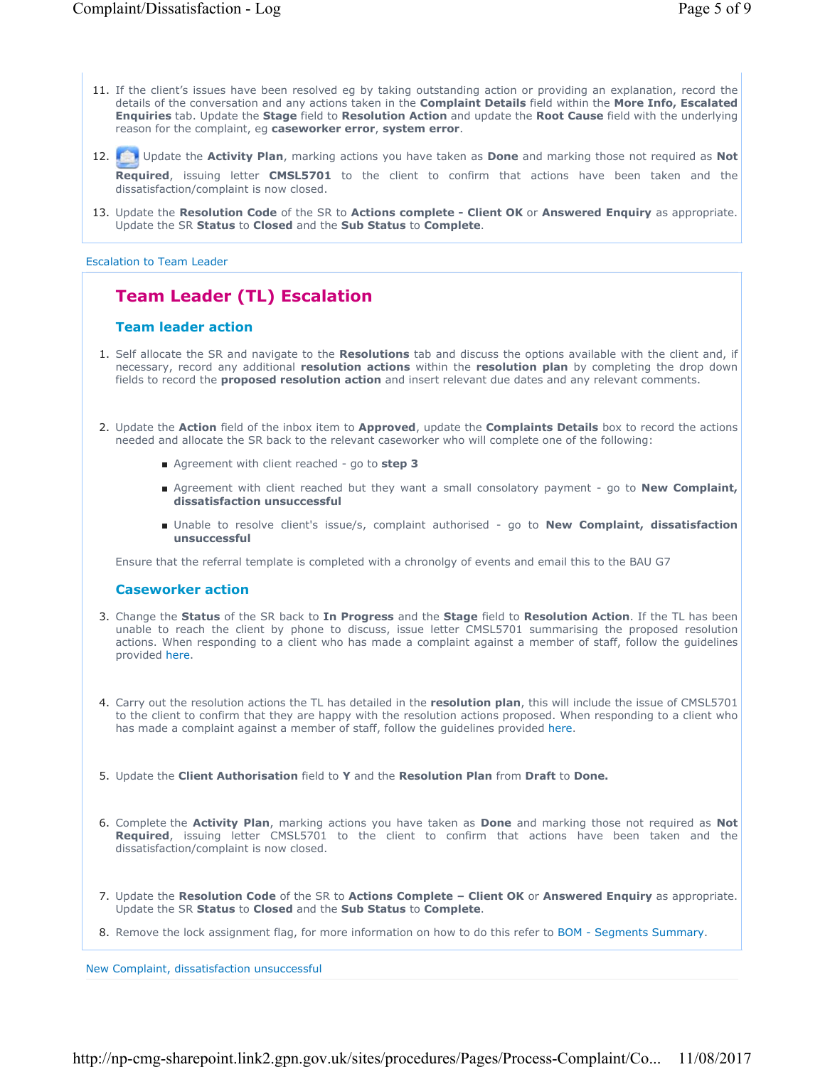- 11. If the client's issues have been resolved eg by taking outstanding action or providing an explanation, record the details of the conversation and any actions taken in the **Complaint Details** field within the **More Info, Escalated Enquiries** tab. Update the **Stage** field to **Resolution Action** and update the **Root Cause** field with the underlying reason for the complaint, eg **caseworker error**, **system error**.
- Update the **Activity Plan**, marking actions you have taken as **Done** and marking those not required as **Not**  12. **Required**, issuing letter **CMSL5701** to the client to confirm that actions have been taken and the dissatisfaction/complaint is now closed.
- 13. Update the Resolution Code of the SR to Actions complete Client OK or Answered Enquiry as appropriate. Update the SR **Status** to **Closed** and the **Sub Status** to **Complete**.

### Escalation to Team Leader

## **Team Leader (TL) Escalation**

## **Team leader action**

- 1. Self allocate the SR and navigate to the **Resolutions** tab and discuss the options available with the client and, if necessary, record any additional **resolution actions** within the **resolution plan** by completing the drop down fields to record the **proposed resolution action** and insert relevant due dates and any relevant comments.
- 2. Update the Action field of the inbox item to Approved, update the Complaints Details box to record the actions needed and allocate the SR back to the relevant caseworker who will complete one of the following:
	- Agreement with client reached go to step 3
	- Agreement with client reached but they want a small consolatory payment go to **New Complaint**, **dissatisfaction unsuccessful**
	- Unable to resolve client's issue/s, complaint authorised go to New Complaint, dissatisfaction **unsuccessful**

Ensure that the referral template is completed with a chronolgy of events and email this to the BAU G7

### **Caseworker action**

- Change the **Status** of the SR back to **In Progress** and the **Stage** field to **Resolution Action**. If the TL has been 3. unable to reach the client by phone to discuss, issue letter CMSL5701 summarising the proposed resolution actions. When responding to a client who has made a complaint against a member of staff, follow the guidelines provided here.
- Carry out the resolution actions the TL has detailed in the **resolution plan**, this will include the issue of CMSL5701 4. to the client to confirm that they are happy with the resolution actions proposed. When responding to a client who has made a complaint against a member of staff, follow the guidelines provided here.
- 5. Update the **Client Authorisation** field to **Y** and the **Resolution Plan** from **Draft** to **Done.**
- Complete the **Activity Plan**, marking actions you have taken as **Done** and marking those not required as **Not**  6. **Required**, issuing letter CMSL5701 to the client to confirm that actions have been taken and the dissatisfaction/complaint is now closed.
- 7. Update the Resolution Code of the SR to Actions Complete Client OK or Answered Enquiry as appropriate. Update the SR **Status** to **Closed** and the **Sub Status** to **Complete**.
- 8. Remove the lock assignment flag, for more information on how to do this refer to BOM Segments Summary.

New Complaint, dissatisfaction unsuccessful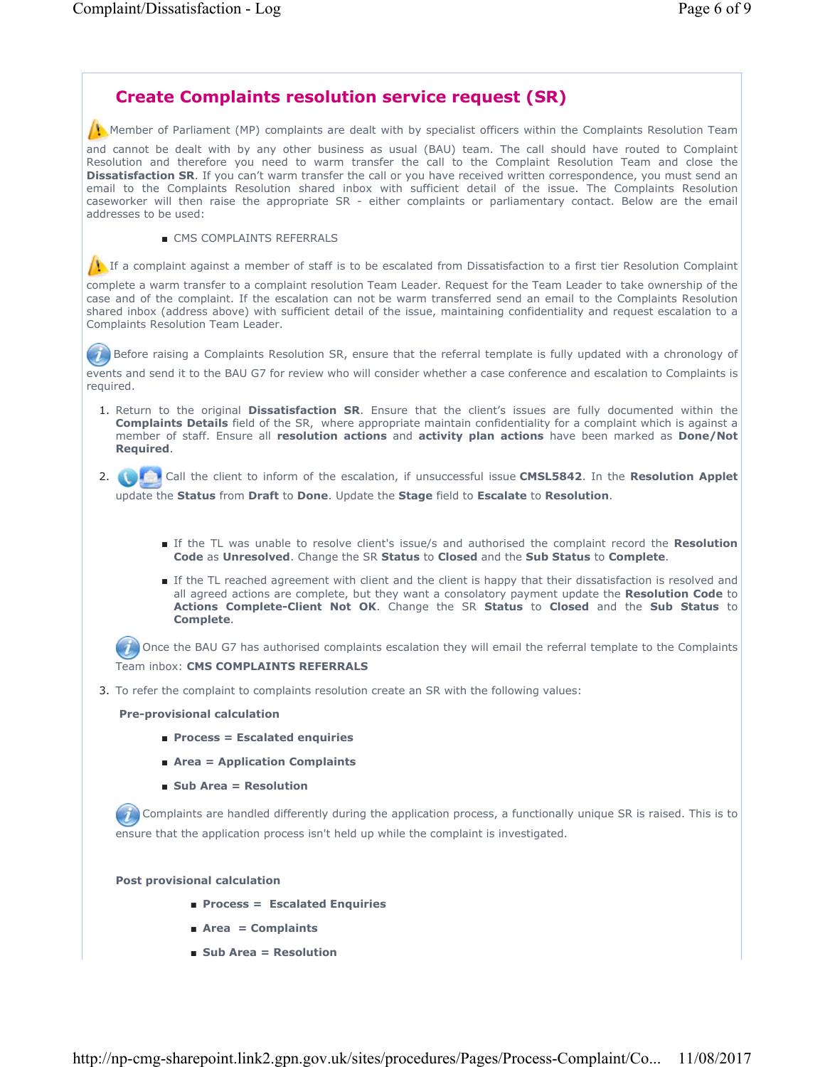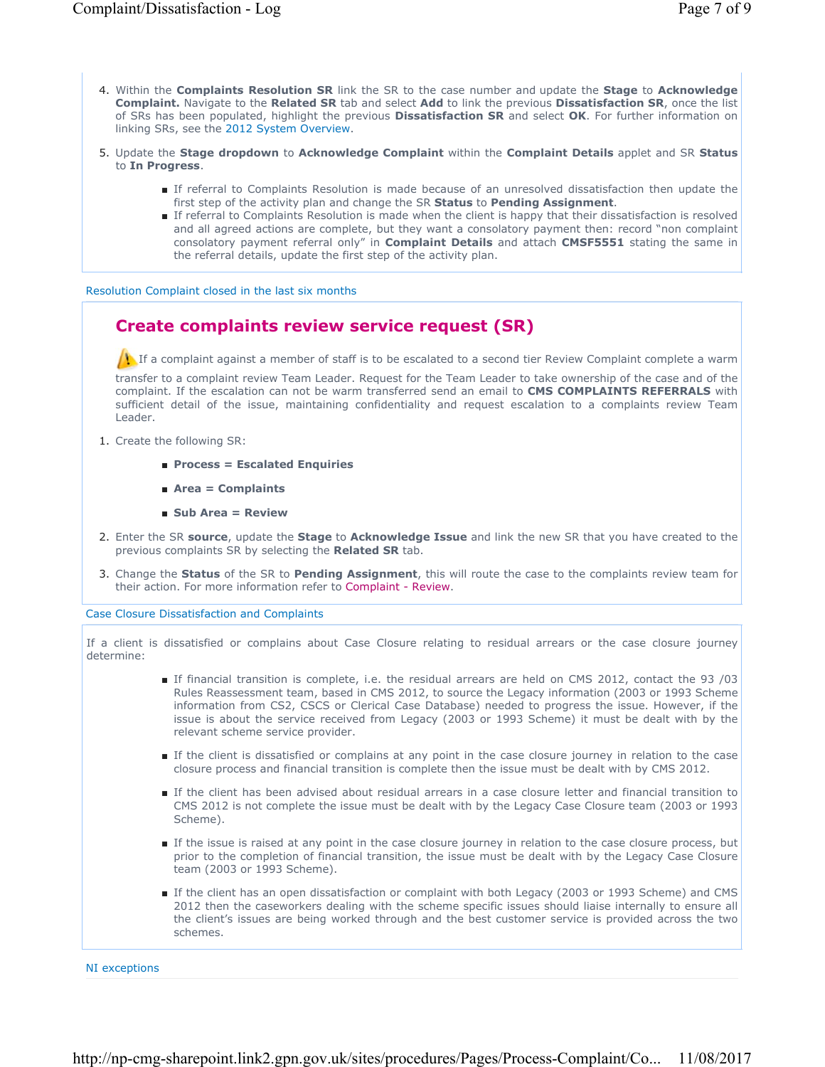- 4. Within the **Complaints Resolution SR** link the SR to the case number and update the Stage to Acknowledge **Complaint.** Navigate to the **Related SR** tab and select **Add** to link the previous **Dissatisfaction SR**, once the list of SRs has been populated, highlight the previous **Dissatisfaction SR** and select **OK**. For further information on linking SRs, see the 2012 System Overview.
- **5.** Update the Stage dropdown to Acknowledge Complaint within the Complaint Details applet and SR Status to **In Progress**.
	- If referral to Complaints Resolution is made because of an unresolved dissatisfaction then update the first step of the activity plan and change the SR **Status** to **Pending Assignment**.
	- If referral to Complaints Resolution is made when the client is happy that their dissatisfaction is resolved and all agreed actions are complete, but they want a consolatory payment then: record "non complaint consolatory payment referral only" in **Complaint Details** and attach **CMSF5551** stating the same in the referral details, update the first step of the activity plan.

Resolution Complaint closed in the last six months

## **Create complaints review service request (SR)**

If a complaint against a member of staff is to be escalated to a second tier Review Complaint complete a warm

transfer to a complaint review Team Leader. Request for the Team Leader to take ownership of the case and of the complaint. If the escalation can not be warm transferred send an email to **CMS COMPLAINTS REFERRALS** with sufficient detail of the issue, maintaining confidentiality and request escalation to a complaints review Team Leader.

- 1. Create the following SR:
	- **Process = Escalated Enquiries**
	- **Area = Complaints**
	- **Sub Area = Review**
- Enter the SR **source**, update the **Stage** to **Acknowledge Issue** and link the new SR that you have created to the 2. previous complaints SR by selecting the **Related SR** tab.
- 3. Change the Status of the SR to Pending Assignment, this will route the case to the complaints review team for their action. For more information refer to Complaint - Review.

Case Closure Dissatisfaction and Complaints

If a client is dissatisfied or complains about Case Closure relating to residual arrears or the case closure journey determine:

- If financial transition is complete, i.e. the residual arrears are held on CMS 2012, contact the 93 /03 Rules Reassessment team, based in CMS 2012, to source the Legacy information (2003 or 1993 Scheme information from CS2, CSCS or Clerical Case Database) needed to progress the issue. However, if the issue is about the service received from Legacy (2003 or 1993 Scheme) it must be dealt with by the relevant scheme service provider.
- If the client is dissatisfied or complains at any point in the case closure journey in relation to the case closure process and financial transition is complete then the issue must be dealt with by CMS 2012.
- If the client has been advised about residual arrears in a case closure letter and financial transition to CMS 2012 is not complete the issue must be dealt with by the Legacy Case Closure team (2003 or 1993 Scheme).
- If the issue is raised at any point in the case closure journey in relation to the case closure process, but prior to the completion of financial transition, the issue must be dealt with by the Legacy Case Closure team (2003 or 1993 Scheme).
- If the client has an open dissatisfaction or complaint with both Legacy (2003 or 1993 Scheme) and CMS 2012 then the caseworkers dealing with the scheme specific issues should liaise internally to ensure all the client's issues are being worked through and the best customer service is provided across the two schemes.

NI exceptions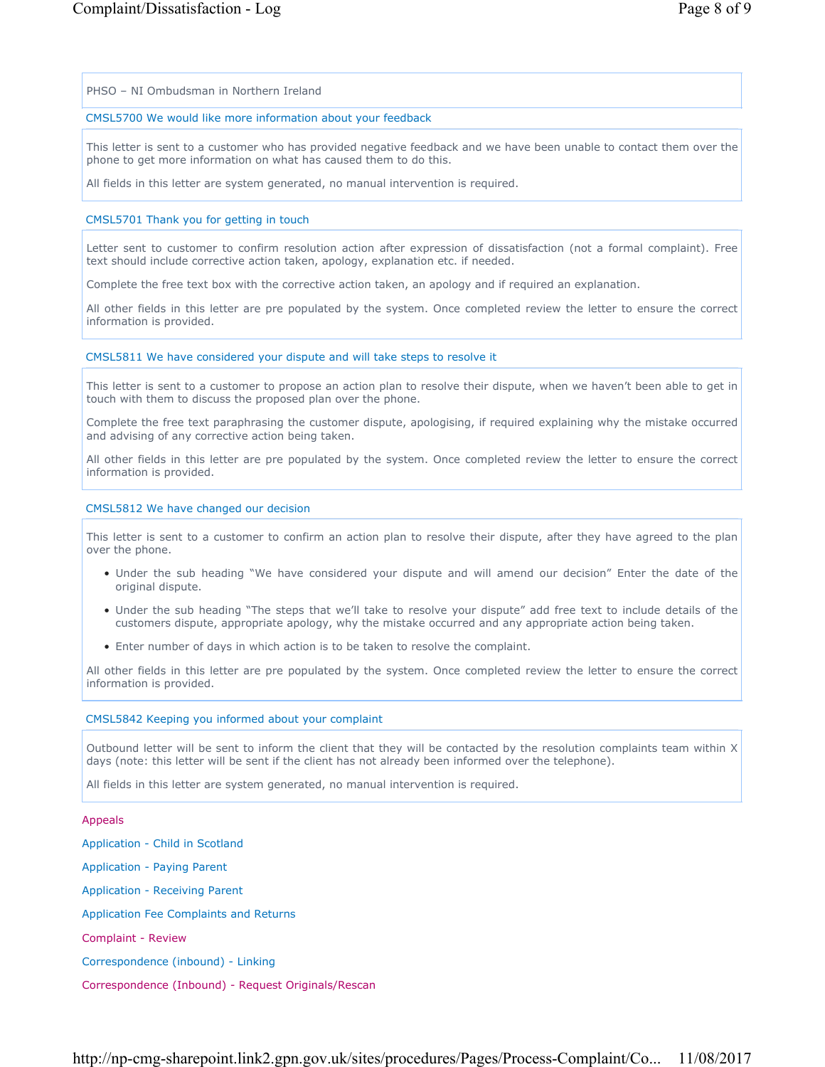PHSO – NI Ombudsman in Northern Ireland

## CMSL5700 We would like more information about your feedback

This letter is sent to a customer who has provided negative feedback and we have been unable to contact them over the phone to get more information on what has caused them to do this.

All fields in this letter are system generated, no manual intervention is required.

### CMSL5701 Thank you for getting in touch

Letter sent to customer to confirm resolution action after expression of dissatisfaction (not a formal complaint). Free text should include corrective action taken, apology, explanation etc. if needed.

Complete the free text box with the corrective action taken, an apology and if required an explanation.

All other fields in this letter are pre populated by the system. Once completed review the letter to ensure the correct information is provided.

#### CMSL5811 We have considered your dispute and will take steps to resolve it

This letter is sent to a customer to propose an action plan to resolve their dispute, when we haven't been able to get in touch with them to discuss the proposed plan over the phone.

Complete the free text paraphrasing the customer dispute, apologising, if required explaining why the mistake occurred and advising of any corrective action being taken.

All other fields in this letter are pre populated by the system. Once completed review the letter to ensure the correct information is provided.

### CMSL5812 We have changed our decision

This letter is sent to a customer to confirm an action plan to resolve their dispute, after they have agreed to the plan over the phone.

- Under the sub heading "We have considered your dispute and will amend our decision" Enter the date of the original dispute.
- Under the sub heading "The steps that we'll take to resolve your dispute" add free text to include details of the customers dispute, appropriate apology, why the mistake occurred and any appropriate action being taken.
- Enter number of days in which action is to be taken to resolve the complaint.

All other fields in this letter are pre populated by the system. Once completed review the letter to ensure the correct information is provided.

### CMSL5842 Keeping you informed about your complaint

Outbound letter will be sent to inform the client that they will be contacted by the resolution complaints team within X days (note: this letter will be sent if the client has not already been informed over the telephone).

All fields in this letter are system generated, no manual intervention is required.

#### Appeals

Application - Child in Scotland Application - Paying Parent Application - Receiving Parent Application Fee Complaints and Returns Complaint - Review Correspondence (inbound) - Linking Correspondence (Inbound) - Request Originals/Rescan